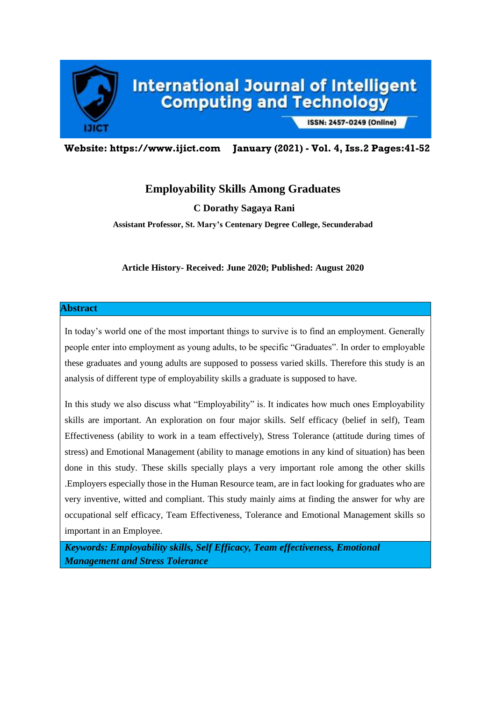

# International Journal of Intelligent<br>Computing and Technology

ISSN: 2457-0249 (Online)

**Website: https://www.ijict.com January (2021) - Vol. 4, Iss.2 Pages:41-52**

# **Employability Skills Among Graduates**

**C Dorathy Sagaya Rani**

**Assistant Professor, St. Mary's Centenary Degree College, Secunderabad**

**Article History- Received: June 2020; Published: August 2020**

#### **Abstract**

In today's world one of the most important things to survive is to find an employment. Generally people enter into employment as young adults, to be specific "Graduates". In order to employable these graduates and young adults are supposed to possess varied skills. Therefore this study is an analysis of different type of employability skills a graduate is supposed to have.

In this study we also discuss what "Employability" is. It indicates how much ones Employability skills are important. An exploration on four major skills. Self efficacy (belief in self), Team Effectiveness (ability to work in a team effectively), Stress Tolerance (attitude during times of stress) and Emotional Management (ability to manage emotions in any kind of situation) has been done in this study. These skills specially plays a very important role among the other skills .Employers especially those in the Human Resource team, are in fact looking for graduates who are very inventive, witted and compliant. This study mainly aims at finding the answer for why are occupational self efficacy, Team Effectiveness, Tolerance and Emotional Management skills so important in an Employee.

*Keywords: Employability skills, Self Efficacy, Team effectiveness, Emotional Management and Stress Tolerance*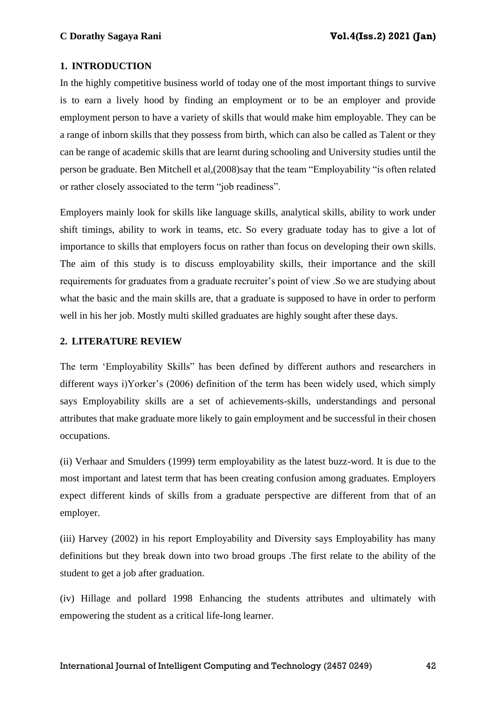## **1. INTRODUCTION**

In the highly competitive business world of today one of the most important things to survive is to earn a lively hood by finding an employment or to be an employer and provide employment person to have a variety of skills that would make him employable. They can be a range of inborn skills that they possess from birth, which can also be called as Talent or they can be range of academic skills that are learnt during schooling and University studies until the person be graduate. Ben Mitchell et al,(2008)say that the team "Employability "is often related or rather closely associated to the term "job readiness".

Employers mainly look for skills like language skills, analytical skills, ability to work under shift timings, ability to work in teams, etc. So every graduate today has to give a lot of importance to skills that employers focus on rather than focus on developing their own skills. The aim of this study is to discuss employability skills, their importance and the skill requirements for graduates from a graduate recruiter's point of view .So we are studying about what the basic and the main skills are, that a graduate is supposed to have in order to perform well in his her job. Mostly multi skilled graduates are highly sought after these days.

## **2. LITERATURE REVIEW**

The term 'Employability Skills" has been defined by different authors and researchers in different ways i)Yorker's (2006) definition of the term has been widely used, which simply says Employability skills are a set of achievements-skills, understandings and personal attributes that make graduate more likely to gain employment and be successful in their chosen occupations.

(ii) Verhaar and Smulders (1999) term employability as the latest buzz-word. It is due to the most important and latest term that has been creating confusion among graduates. Employers expect different kinds of skills from a graduate perspective are different from that of an employer.

(iii) Harvey (2002) in his report Employability and Diversity says Employability has many definitions but they break down into two broad groups .The first relate to the ability of the student to get a job after graduation.

(iv) Hillage and pollard 1998 Enhancing the students attributes and ultimately with empowering the student as a critical life-long learner.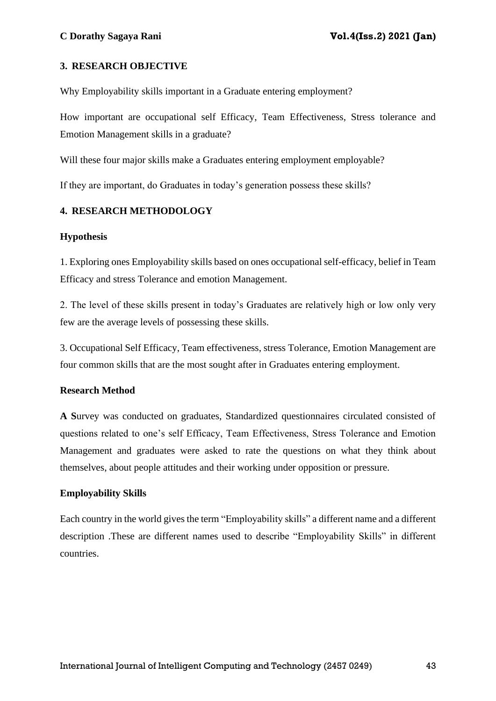## **3. RESEARCH OBJECTIVE**

Why Employability skills important in a Graduate entering employment?

How important are occupational self Efficacy, Team Effectiveness, Stress tolerance and Emotion Management skills in a graduate?

Will these four major skills make a Graduates entering employment employable?

If they are important, do Graduates in today's generation possess these skills?

## **4. RESEARCH METHODOLOGY**

## **Hypothesis**

1. Exploring ones Employability skills based on ones occupational self-efficacy, belief in Team Efficacy and stress Tolerance and emotion Management.

2. The level of these skills present in today's Graduates are relatively high or low only very few are the average levels of possessing these skills.

3. Occupational Self Efficacy, Team effectiveness, stress Tolerance, Emotion Management are four common skills that are the most sought after in Graduates entering employment.

## **Research Method**

**A S**urvey was conducted on graduates, Standardized questionnaires circulated consisted of questions related to one's self Efficacy, Team Effectiveness, Stress Tolerance and Emotion Management and graduates were asked to rate the questions on what they think about themselves, about people attitudes and their working under opposition or pressure.

## **Employability Skills**

Each country in the world gives the term "Employability skills" a different name and a different description .These are different names used to describe "Employability Skills" in different countries.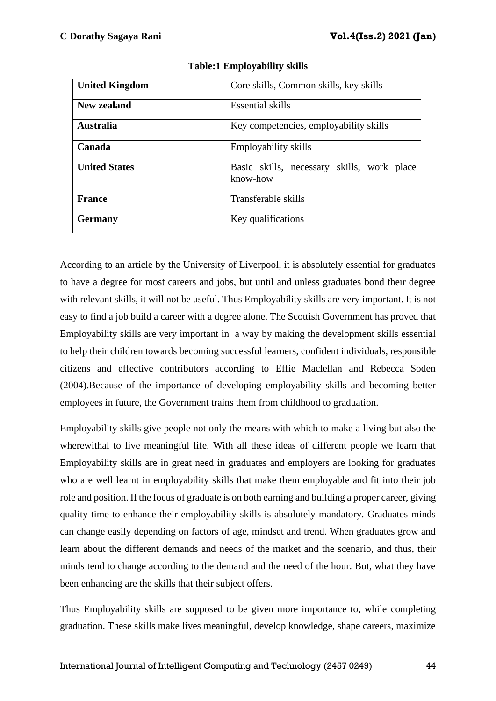| <b>United Kingdom</b> | Core skills, Common skills, key skills        |  |  |  |  |  |  |  |
|-----------------------|-----------------------------------------------|--|--|--|--|--|--|--|
|                       |                                               |  |  |  |  |  |  |  |
| New zealand           | Essential skills                              |  |  |  |  |  |  |  |
|                       |                                               |  |  |  |  |  |  |  |
| <b>Australia</b>      | Key competencies, employability skills        |  |  |  |  |  |  |  |
|                       |                                               |  |  |  |  |  |  |  |
| Canada                | Employability skills                          |  |  |  |  |  |  |  |
|                       |                                               |  |  |  |  |  |  |  |
| <b>United States</b>  | Basic skills, necessary<br>skills, work place |  |  |  |  |  |  |  |
|                       | know-how                                      |  |  |  |  |  |  |  |
|                       |                                               |  |  |  |  |  |  |  |
| <b>France</b>         | Transferable skills                           |  |  |  |  |  |  |  |
|                       |                                               |  |  |  |  |  |  |  |
| <b>Germany</b>        | Key qualifications                            |  |  |  |  |  |  |  |
|                       |                                               |  |  |  |  |  |  |  |

**Table:1 Employability skills**

According to an article by the University of Liverpool, it is absolutely essential for graduates to have a degree for most careers and jobs, but until and unless graduates bond their degree with relevant skills, it will not be useful. Thus Employability skills are very important. It is not easy to find a job build a career with a degree alone. The Scottish Government has proved that Employability skills are very important in a way by making the development skills essential to help their children towards becoming successful learners, confident individuals, responsible citizens and effective contributors according to Effie Maclellan and Rebecca Soden (2004).Because of the importance of developing employability skills and becoming better employees in future, the Government trains them from childhood to graduation.

Employability skills give people not only the means with which to make a living but also the wherewithal to live meaningful life. With all these ideas of different people we learn that Employability skills are in great need in graduates and employers are looking for graduates who are well learnt in employability skills that make them employable and fit into their job role and position. If the focus of graduate is on both earning and building a proper career, giving quality time to enhance their employability skills is absolutely mandatory. Graduates minds can change easily depending on factors of age, mindset and trend. When graduates grow and learn about the different demands and needs of the market and the scenario, and thus, their minds tend to change according to the demand and the need of the hour. But, what they have been enhancing are the skills that their subject offers.

Thus Employability skills are supposed to be given more importance to, while completing graduation. These skills make lives meaningful, develop knowledge, shape careers, maximize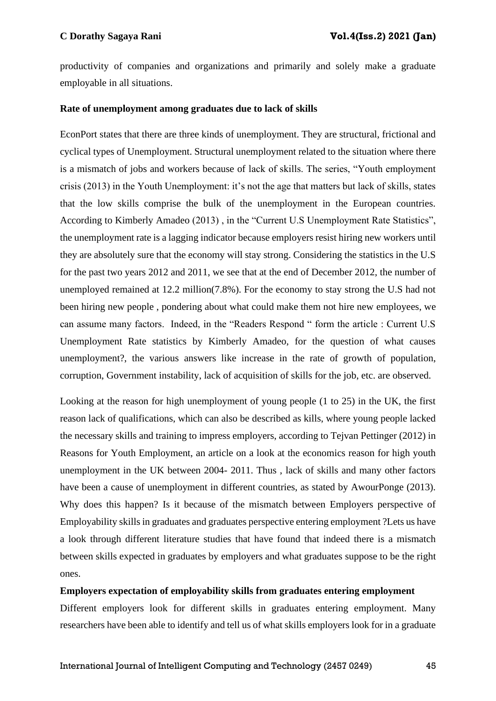productivity of companies and organizations and primarily and solely make a graduate employable in all situations.

#### **Rate of unemployment among graduates due to lack of skills**

EconPort states that there are three kinds of unemployment. They are structural, frictional and cyclical types of Unemployment. Structural unemployment related to the situation where there is a mismatch of jobs and workers because of lack of skills. The series, "Youth employment crisis (2013) in the Youth Unemployment: it's not the age that matters but lack of skills, states that the low skills comprise the bulk of the unemployment in the European countries. According to Kimberly Amadeo (2013) , in the "Current U.S Unemployment Rate Statistics", the unemployment rate is a lagging indicator because employers resist hiring new workers until they are absolutely sure that the economy will stay strong. Considering the statistics in the U.S for the past two years 2012 and 2011, we see that at the end of December 2012, the number of unemployed remained at 12.2 million(7.8%). For the economy to stay strong the U.S had not been hiring new people , pondering about what could make them not hire new employees, we can assume many factors. Indeed, in the "Readers Respond " form the article : Current U.S Unemployment Rate statistics by Kimberly Amadeo, for the question of what causes unemployment?, the various answers like increase in the rate of growth of population, corruption, Government instability, lack of acquisition of skills for the job, etc. are observed.

Looking at the reason for high unemployment of young people (1 to 25) in the UK, the first reason lack of qualifications, which can also be described as kills, where young people lacked the necessary skills and training to impress employers, according to Tejvan Pettinger (2012) in Reasons for Youth Employment, an article on a look at the economics reason for high youth unemployment in the UK between 2004- 2011. Thus , lack of skills and many other factors have been a cause of unemployment in different countries, as stated by AwourPonge (2013). Why does this happen? Is it because of the mismatch between Employers perspective of Employability skills in graduates and graduates perspective entering employment ?Lets us have a look through different literature studies that have found that indeed there is a mismatch between skills expected in graduates by employers and what graduates suppose to be the right ones.

#### **Employers expectation of employability skills from graduates entering employment**

Different employers look for different skills in graduates entering employment. Many researchers have been able to identify and tell us of what skills employers look for in a graduate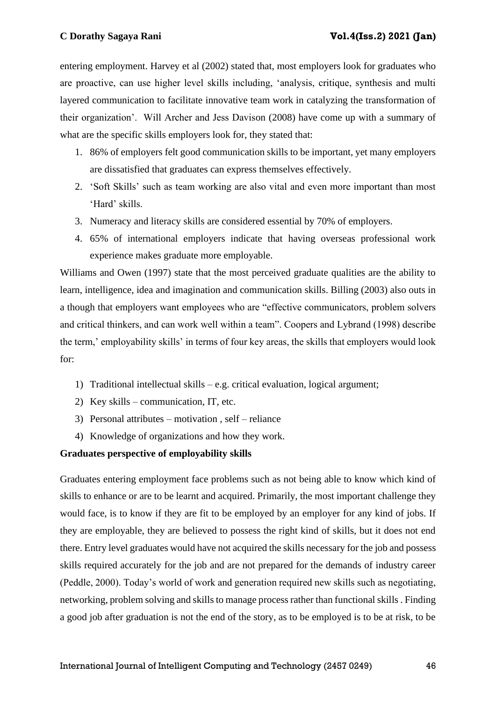entering employment. Harvey et al (2002) stated that, most employers look for graduates who are proactive, can use higher level skills including, 'analysis, critique, synthesis and multi layered communication to facilitate innovative team work in catalyzing the transformation of their organization'. Will Archer and Jess Davison (2008) have come up with a summary of what are the specific skills employers look for, they stated that:

- 1. 86% of employers felt good communication skills to be important, yet many employers are dissatisfied that graduates can express themselves effectively.
- 2. 'Soft Skills' such as team working are also vital and even more important than most 'Hard' skills.
- 3. Numeracy and literacy skills are considered essential by 70% of employers.
- 4. 65% of international employers indicate that having overseas professional work experience makes graduate more employable.

Williams and Owen (1997) state that the most perceived graduate qualities are the ability to learn, intelligence, idea and imagination and communication skills. Billing (2003) also outs in a though that employers want employees who are "effective communicators, problem solvers and critical thinkers, and can work well within a team". Coopers and Lybrand (1998) describe the term,' employability skills' in terms of four key areas, the skills that employers would look for:

- 1) Traditional intellectual skills e.g. critical evaluation, logical argument;
- 2) Key skills communication, IT, etc.
- 3) Personal attributes motivation , self reliance
- 4) Knowledge of organizations and how they work.

# **Graduates perspective of employability skills**

Graduates entering employment face problems such as not being able to know which kind of skills to enhance or are to be learnt and acquired. Primarily, the most important challenge they would face, is to know if they are fit to be employed by an employer for any kind of jobs. If they are employable, they are believed to possess the right kind of skills, but it does not end there. Entry level graduates would have not acquired the skills necessary for the job and possess skills required accurately for the job and are not prepared for the demands of industry career (Peddle, 2000). Today's world of work and generation required new skills such as negotiating, networking, problem solving and skills to manage process rather than functional skills . Finding a good job after graduation is not the end of the story, as to be employed is to be at risk, to be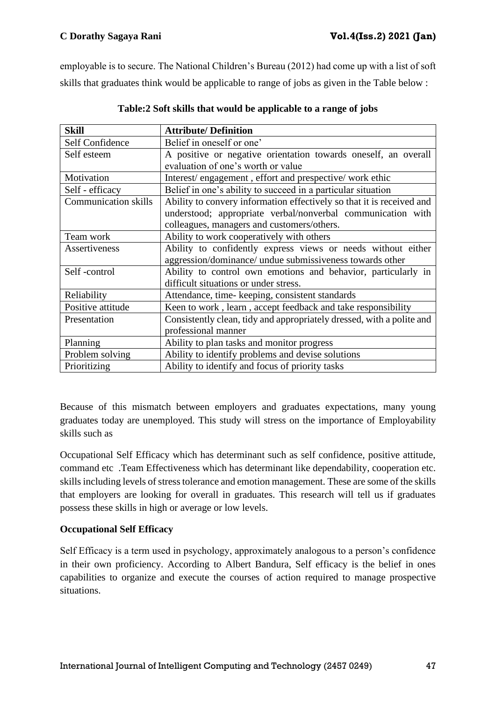employable is to secure. The National Children's Bureau (2012) had come up with a list of soft skills that graduates think would be applicable to range of jobs as given in the Table below :

| <b>Skill</b>                | <b>Attribute/Definition</b>                                           |
|-----------------------------|-----------------------------------------------------------------------|
| Self Confidence             | Belief in oneself or one'                                             |
| Self esteem                 | A positive or negative orientation towards oneself, an overall        |
|                             | evaluation of one's worth or value                                    |
| Motivation                  | Interest/engagement, effort and prespective/work ethic                |
| Self - efficacy             | Belief in one's ability to succeed in a particular situation          |
| <b>Communication skills</b> | Ability to convery information effectively so that it is received and |
|                             | understood; appropriate verbal/nonverbal communication with           |
|                             | colleagues, managers and customers/others.                            |
| Team work                   | Ability to work cooperatively with others                             |
| Assertiveness               | Ability to confidently express views or needs without either          |
|                             | aggression/dominance/ undue submissiveness towards other              |
| Self-control                | Ability to control own emotions and behavior, particularly in         |
|                             | difficult situations or under stress.                                 |
| Reliability                 | Attendance, time-keeping, consistent standards                        |
| Positive attitude           | Keen to work, learn, accept feedback and take responsibility          |
| Presentation                | Consistently clean, tidy and appropriately dressed, with a polite and |
|                             | professional manner                                                   |
| Planning                    | Ability to plan tasks and monitor progress                            |
| Problem solving             | Ability to identify problems and devise solutions                     |
| Prioritizing                | Ability to identify and focus of priority tasks                       |

| Table:2 Soft skills that would be applicable to a range of jobs |  |  |
|-----------------------------------------------------------------|--|--|
|                                                                 |  |  |

Because of this mismatch between employers and graduates expectations, many young graduates today are unemployed. This study will stress on the importance of Employability skills such as

Occupational Self Efficacy which has determinant such as self confidence, positive attitude, command etc .Team Effectiveness which has determinant like dependability, cooperation etc. skills including levels of stress tolerance and emotion management. These are some of the skills that employers are looking for overall in graduates. This research will tell us if graduates possess these skills in high or average or low levels.

# **Occupational Self Efficacy**

Self Efficacy is a term used in psychology, approximately analogous to a person's confidence in their own proficiency. According to Albert Bandura, Self efficacy is the belief in ones capabilities to organize and execute the courses of action required to manage prospective situations.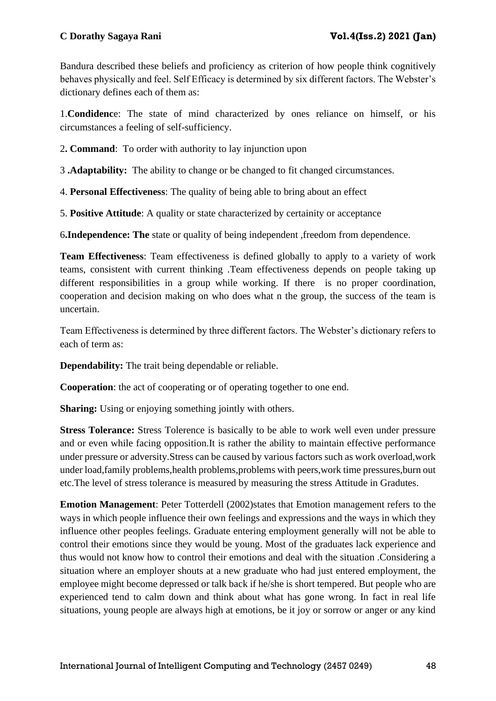Bandura described these beliefs and proficiency as criterion of how people think cognitively behaves physically and feel. Self Efficacy is determined by six different factors. The Webster's dictionary defines each of them as:

1.**Condidenc**e: The state of mind characterized by ones reliance on himself, or his circumstances a feeling of self-sufficiency.

2**. Command**: To order with authority to lay injunction upon

3 **.Adaptability:** The ability to change or be changed to fit changed circumstances.

4. **Personal Effectiveness**: The quality of being able to bring about an effect

5. **Positive Attitude**: A quality or state characterized by certainity or acceptance

6**.Independence: The** state or quality of being independent ,freedom from dependence.

**Team Effectiveness**: Team effectiveness is defined globally to apply to a variety of work teams, consistent with current thinking .Team effectiveness depends on people taking up different responsibilities in a group while working. If there is no proper coordination, cooperation and decision making on who does what n the group, the success of the team is uncertain.

Team Effectiveness is determined by three different factors. The Webster's dictionary refers to each of term as:

**Dependability:** The trait being dependable or reliable.

**Cooperation**: the act of cooperating or of operating together to one end.

**Sharing:** Using or enjoying something jointly with others.

**Stress Tolerance:** Stress Tolerence is basically to be able to work well even under pressure and or even while facing opposition.It is rather the ability to maintain effective performance under pressure or adversity.Stress can be caused by various factors such as work overload,work under load,family problems,health problems,problems with peers,work time pressures,burn out etc.The level of stress tolerance is measured by measuring the stress Attitude in Gradutes.

**Emotion Management**: Peter Totterdell (2002)states that Emotion management refers to the ways in which people influence their own feelings and expressions and the ways in which they influence other peoples feelings. Graduate entering employment generally will not be able to control their emotions since they would be young. Most of the graduates lack experience and thus would not know how to control their emotions and deal with the situation .Considering a situation where an employer shouts at a new graduate who had just entered employment, the employee might become depressed or talk back if he/she is short tempered. But people who are experienced tend to calm down and think about what has gone wrong. In fact in real life situations, young people are always high at emotions, be it joy or sorrow or anger or any kind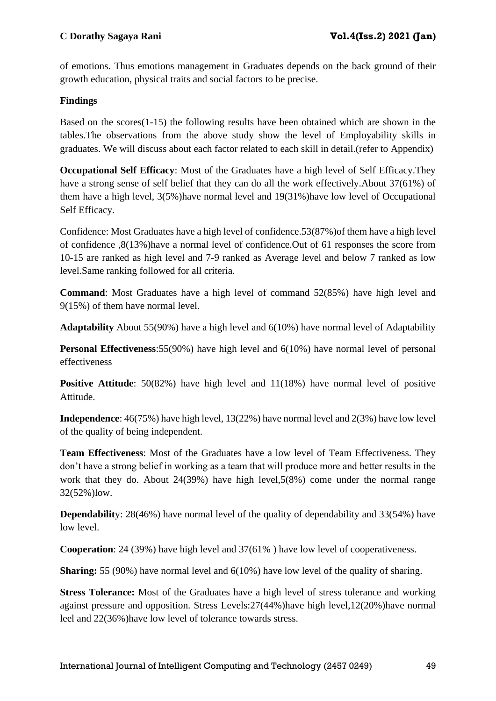of emotions. Thus emotions management in Graduates depends on the back ground of their growth education, physical traits and social factors to be precise.

# **Findings**

Based on the scores(1-15) the following results have been obtained which are shown in the tables.The observations from the above study show the level of Employability skills in graduates. We will discuss about each factor related to each skill in detail.(refer to Appendix)

**Occupational Self Efficacy**: Most of the Graduates have a high level of Self Efficacy.They have a strong sense of self belief that they can do all the work effectively.About 37(61%) of them have a high level, 3(5%)have normal level and 19(31%)have low level of Occupational Self Efficacy.

Confidence: Most Graduates have a high level of confidence.53(87%)of them have a high level of confidence ,8(13%)have a normal level of confidence.Out of 61 responses the score from 10-15 are ranked as high level and 7-9 ranked as Average level and below 7 ranked as low level.Same ranking followed for all criteria.

**Command**: Most Graduates have a high level of command 52(85%) have high level and 9(15%) of them have normal level.

**Adaptability** About 55(90%) have a high level and 6(10%) have normal level of Adaptability

**Personal Effectiveness:**55(90%) have high level and 6(10%) have normal level of personal effectiveness

**Positive Attitude**: 50(82%) have high level and 11(18%) have normal level of positive Attitude.

**Independence**: 46(75%) have high level, 13(22%) have normal level and 2(3%) have low level of the quality of being independent.

**Team Effectiveness**: Most of the Graduates have a low level of Team Effectiveness. They don't have a strong belief in working as a team that will produce more and better results in the work that they do. About 24(39%) have high level,5(8%) come under the normal range 32(52%)low.

**Dependability**: 28(46%) have normal level of the quality of dependability and 33(54%) have low level.

**Cooperation**: 24 (39%) have high level and 37(61% ) have low level of cooperativeness.

**Sharing:** 55 (90%) have normal level and 6(10%) have low level of the quality of sharing.

**Stress Tolerance:** Most of the Graduates have a high level of stress tolerance and working against pressure and opposition. Stress Levels:27(44%)have high level,12(20%)have normal leel and 22(36%)have low level of tolerance towards stress.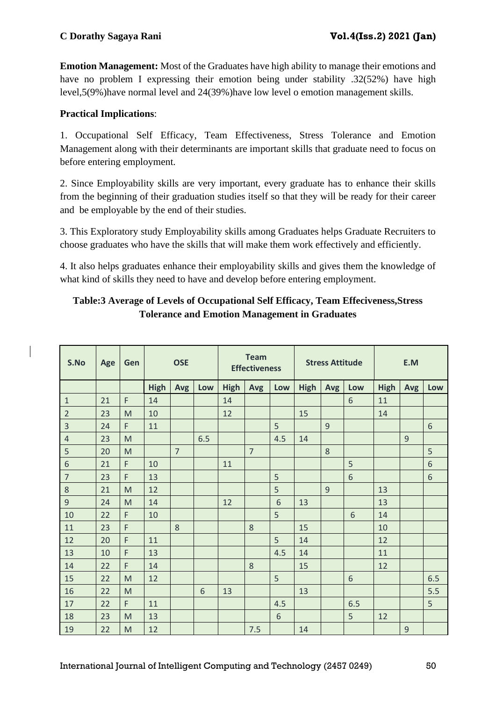**Emotion Management:** Most of the Graduates have high ability to manage their emotions and have no problem I expressing their emotion being under stability .32(52%) have high level,5(9%)have normal level and 24(39%)have low level o emotion management skills.

# **Practical Implications**:

1. Occupational Self Efficacy, Team Effectiveness, Stress Tolerance and Emotion Management along with their determinants are important skills that graduate need to focus on before entering employment.

2. Since Employability skills are very important, every graduate has to enhance their skills from the beginning of their graduation studies itself so that they will be ready for their career and be employable by the end of their studies.

3. This Exploratory study Employability skills among Graduates helps Graduate Recruiters to choose graduates who have the skills that will make them work effectively and efficiently.

4. It also helps graduates enhance their employability skills and gives them the knowledge of what kind of skills they need to have and develop before entering employment.

# **Table:3 Average of Levels of Occupational Self Efficacy, Team Effeciveness,Stress Tolerance and Emotion Management in Graduates**

| S.No           | Age | Gen | <b>OSE</b>  |                |     | <b>Team</b><br><b>Effectiveness</b> |                |       | <b>Stress Attitude</b> |     |     | E.M         |                |     |
|----------------|-----|-----|-------------|----------------|-----|-------------------------------------|----------------|-------|------------------------|-----|-----|-------------|----------------|-----|
|                |     |     | <b>High</b> | Avg            | Low | <b>High</b>                         | Avg            | Low   | <b>High</b>            | Avg | Low | <b>High</b> | Avg            | Low |
| $\mathbf{1}$   | 21  | F   | 14          |                |     | 14                                  |                |       |                        |     | 6   | 11          |                |     |
| $\overline{2}$ | 23  | M   | 10          |                |     | 12                                  |                |       | 15                     |     |     | 14          |                |     |
| $\overline{3}$ | 24  | F   | 11          |                |     |                                     |                | 5     |                        | 9   |     |             |                | 6   |
| $\overline{4}$ | 23  | M   |             |                | 6.5 |                                     |                | 4.5   | 14                     |     |     |             | 9              |     |
| 5              | 20  | M   |             | $\overline{7}$ |     |                                     | $\overline{7}$ |       |                        | 8   |     |             |                | 5   |
| $6\phantom{1}$ | 21  | F   | 10          |                |     | 11                                  |                |       |                        |     | 5   |             |                | 6   |
| $\overline{7}$ | 23  | F   | 13          |                |     |                                     |                | 5     |                        |     | 6   |             |                | 6   |
| $\,8\,$        | 21  | M   | 12          |                |     |                                     |                | 5     |                        | 9   |     | 13          |                |     |
| $\overline{9}$ | 24  | M   | 14          |                |     | 12                                  |                | 6     | 13                     |     |     | 13          |                |     |
| 10             | 22  | F   | 10          |                |     |                                     |                | 5     |                        |     | 6   | 14          |                |     |
| 11             | 23  | F   |             | 8              |     |                                     | 8              |       | 15                     |     |     | 10          |                |     |
| 12             | 20  | F   | 11          |                |     |                                     |                | 5     | 14                     |     |     | 12          |                |     |
| 13             | 10  | F   | 13          |                |     |                                     |                | 4.5   | 14                     |     |     | 11          |                |     |
| 14             | 22  | F   | 14          |                |     |                                     | 8              |       | 15                     |     |     | 12          |                |     |
| 15             | 22  | M   | 12          |                |     |                                     |                | 5     |                        |     | 6   |             |                | 6.5 |
| 16             | 22  | M   |             |                | 6   | 13                                  |                |       | 13                     |     |     |             |                | 5.5 |
| 17             | 22  | F   | 11          |                |     |                                     |                | 4.5   |                        |     | 6.5 |             |                | 5   |
| 18             | 23  | M   | 13          |                |     |                                     |                | $6\,$ |                        |     | 5   | 12          |                |     |
| 19             | 22  | M   | 12          |                |     |                                     | 7.5            |       | 14                     |     |     |             | $\overline{9}$ |     |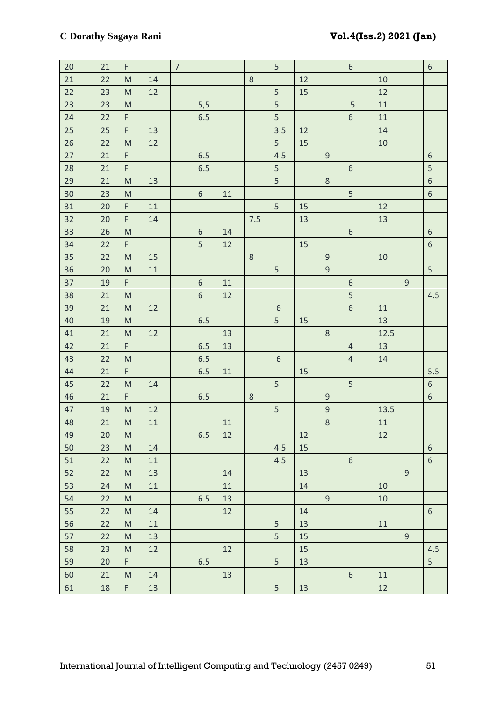| 20     | 21              | F                                                                                                          |    | $\overline{7}$ |            |              |         | $\mathsf S$    |    |                | $\boldsymbol{6}$        |              |                | $6\,$            |
|--------|-----------------|------------------------------------------------------------------------------------------------------------|----|----------------|------------|--------------|---------|----------------|----|----------------|-------------------------|--------------|----------------|------------------|
| $21\,$ | 22              | $\mathsf{M}$                                                                                               | 14 |                |            |              | $\,8\,$ |                | 12 |                |                         | $10\,$       |                |                  |
| 22     | 23              | $\mathsf{M}% _{T}=\mathsf{M}_{T}\!\left( a,b\right) ,\ \mathsf{M}_{T}=\mathsf{M}_{T}\!\left( a,b\right) ,$ | 12 |                |            |              |         | 5              | 15 |                |                         | 12           |                |                  |
| 23     | 23              | $\mathsf{M}% _{T}=\mathsf{M}_{T}\!\left( a,b\right) ,\ \mathsf{M}_{T}=\mathsf{M}_{T}\!\left( a,b\right) ,$ |    |                | 5,5        |              |         | 5              |    |                | 5                       | $11\,$       |                |                  |
| 24     | 22              | F                                                                                                          |    |                | 6.5        |              |         | 5              |    |                | $\overline{6}$          | 11           |                |                  |
| 25     | 25              | F                                                                                                          | 13 |                |            |              |         | 3.5            | 12 |                |                         | 14           |                |                  |
| 26     | 22              | M                                                                                                          | 12 |                |            |              |         | 5              | 15 |                |                         | $10\,$       |                |                  |
| 27     | 21              | F                                                                                                          |    |                | 6.5        |              |         | 4.5            |    | $\overline{9}$ |                         |              |                | $\sqrt{6}$       |
| 28     | 21              | F                                                                                                          |    |                | 6.5        |              |         | $\mathsf S$    |    |                | $\boldsymbol{6}$        |              |                | 5                |
| 29     | 21              | $\mathsf{M}% _{T}=\mathsf{M}_{T}\!\left( a,b\right) ,\ \mathsf{M}_{T}=\mathsf{M}_{T}\!\left( a,b\right) ,$ | 13 |                |            |              |         | 5              |    | $\,8\,$        |                         |              |                | $\sqrt{6}$       |
| 30     | 23              | M                                                                                                          |    |                | $\sqrt{6}$ | 11           |         |                |    |                | 5                       |              |                | $6\phantom{a}$   |
| 31     | 20              | F                                                                                                          | 11 |                |            |              |         | 5              | 15 |                |                         | 12           |                |                  |
| 32     | 20              | F.                                                                                                         | 14 |                |            |              | 7.5     |                | 13 |                |                         | 13           |                |                  |
| 33     | 26              | $\mathsf{M}% _{T}=\mathsf{M}_{T}\!\left( a,b\right) ,\ \mathsf{M}_{T}=\mathsf{M}_{T}\!\left( a,b\right) ,$ |    |                | $\sqrt{6}$ | 14           |         |                |    |                | $\boldsymbol{6}$        |              |                | $6\,$            |
| 34     | 22              | F.                                                                                                         |    |                | 5          | 12           |         |                | 15 |                |                         |              |                | $\sqrt{6}$       |
| 35     | 22              | M                                                                                                          | 15 |                |            |              | $\,8\,$ |                |    | $\mathsf 9$    |                         | $10\,$       |                |                  |
| 36     | 20              | $\mathsf{M}% _{T}=\mathsf{M}_{T}\!\left( a,b\right) ,\ \mathsf{M}_{T}=\mathsf{M}_{T}\!\left( a,b\right) ,$ | 11 |                |            |              |         | 5              |    | $\overline{9}$ |                         |              |                | 5                |
| 37     | 19              | F                                                                                                          |    |                | $\sqrt{6}$ | $11\,$       |         |                |    |                | $\,$ 6 $\,$             |              | $\mathsf 9$    |                  |
| 38     | 21              | $\mathsf{M}$                                                                                               |    |                | $\sqrt{6}$ | 12           |         |                |    |                | $\overline{\mathbf{5}}$ |              |                | 4.5              |
| 39     | 21              | M                                                                                                          | 12 |                |            |              |         | $\sqrt{6}$     |    |                | $\overline{6}$          | $11\,$       |                |                  |
| 40     | 19              | M                                                                                                          |    |                | 6.5        |              |         | 5              | 15 |                |                         | 13           |                |                  |
| 41     | 21              | $\mathsf{M}% _{T}=\mathsf{M}_{T}\!\left( a,b\right) ,\ \mathsf{M}_{T}=\mathsf{M}_{T}\!\left( a,b\right) ,$ | 12 |                |            | 13           |         |                |    | $\,8\,$        |                         | 12.5         |                |                  |
| 42     | 21              | F                                                                                                          |    |                | 6.5        | 13           |         |                |    |                | $\overline{4}$          | 13           |                |                  |
| 43     | 22              | $\mathsf{M}$                                                                                               |    |                | 6.5        |              |         | $\sqrt{6}$     |    |                | $\sqrt{4}$              | 14           |                |                  |
| 44     | 21              | F.                                                                                                         |    |                | 6.5        | 11           |         |                | 15 |                |                         |              |                | 5.5              |
| 45     | 22              | $\mathsf{M}% _{T}=\mathsf{M}_{T}\!\left( a,b\right) ,\ \mathsf{M}_{T}=\mathsf{M}_{T}\!\left( a,b\right) ,$ | 14 |                |            |              |         | $\mathsf S$    |    |                | 5                       |              |                | $\boldsymbol{6}$ |
| 46     | 21              | F.                                                                                                         |    |                | 6.5        |              | $\,8\,$ |                |    | $\mathsf 9$    |                         |              |                | $6\phantom{a}$   |
| 47     | 19              | M                                                                                                          | 12 |                |            |              |         | 5              |    | $\mathsf 9$    |                         | 13.5         |                |                  |
| 48     | 21              | $\mathsf{M}% _{T}=\mathsf{M}_{T}\!\left( a,b\right) ,\ \mathsf{M}_{T}=\mathsf{M}_{T}\!\left( a,b\right) ,$ | 11 |                |            | $11\,$       |         |                |    | 8              |                         | $11\,$       |                |                  |
| 49     | 20 <sup>7</sup> | $\mathsf{M}% _{H}=\mathsf{M}_{H}$                                                                          |    |                | 6.5        | $\boxed{12}$ |         |                | 12 |                |                         | $\boxed{12}$ |                |                  |
| 50     | 23              | M                                                                                                          | 14 |                |            |              |         | 4.5            | 15 |                |                         |              |                | $6\phantom{1}$   |
| 51     | 22              | $\mathsf{M}% _{T}=\mathsf{M}_{T}\!\left( a,b\right) ,\ \mathsf{M}_{T}=\mathsf{M}_{T}\!\left( a,b\right) ,$ | 11 |                |            |              |         | 4.5            |    |                | $\sqrt{6}$              |              |                | 6                |
| 52     | 22              | M                                                                                                          | 13 |                |            | 14           |         |                | 13 |                |                         |              | $\overline{9}$ |                  |
| 53     | 24              | $\mathsf{M}% _{T}=\mathsf{M}_{T}\!\left( a,b\right) ,\ \mathsf{M}_{T}=\mathsf{M}_{T}\!\left( a,b\right) ,$ | 11 |                |            | 11           |         |                | 14 |                |                         | 10           |                |                  |
| 54     | 22              | M                                                                                                          |    |                | 6.5        | 13           |         |                |    | 9              |                         | 10           |                |                  |
| 55     | 22              | $\mathsf{M}% _{T}=\mathsf{M}_{T}\!\left( a,b\right) ,\ \mathsf{M}_{T}=\mathsf{M}_{T}\!\left( a,b\right) ,$ | 14 |                |            | 12           |         |                | 14 |                |                         |              |                | $6\,$            |
| 56     | 22              | $\mathsf{M}% _{T}=\mathsf{M}_{T}\!\left( a,b\right) ,\ \mathsf{M}_{T}=\mathsf{M}_{T}\!\left( a,b\right) ,$ | 11 |                |            |              |         | 5              | 13 |                |                         | 11           |                |                  |
| 57     | 22              | $\mathsf{M}% _{T}=\mathsf{M}_{T}\!\left( a,b\right) ,\ \mathsf{M}_{T}=\mathsf{M}_{T}\!\left( a,b\right) ,$ | 13 |                |            |              |         | 5              | 15 |                |                         |              | 9              |                  |
| 58     | 23              | M                                                                                                          | 12 |                |            | 12           |         |                | 15 |                |                         |              |                | 4.5              |
| 59     | 20              | F.                                                                                                         |    |                | 6.5        |              |         | 5 <sup>1</sup> | 13 |                |                         |              |                | 5                |
| 60     | 21              | M                                                                                                          | 14 |                |            | 13           |         |                |    |                | $\sqrt{6}$              | 11           |                |                  |
| 61     | 18              | F.                                                                                                         | 13 |                |            |              |         | 5              | 13 |                |                         | 12           |                |                  |